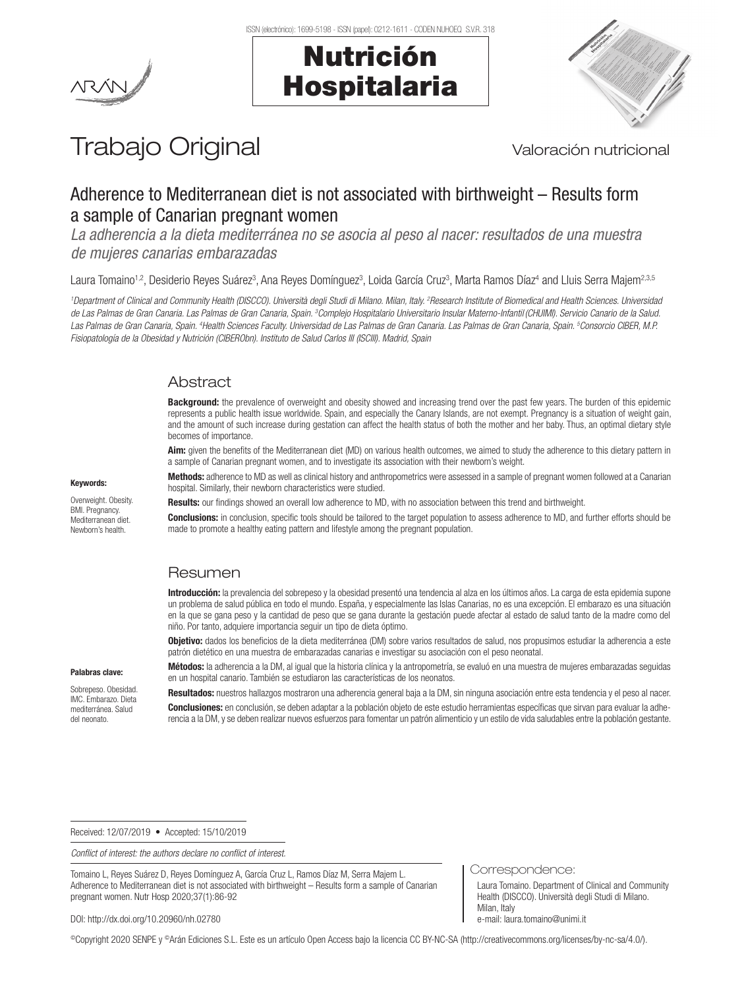



# Trabajo Original Valoración nutricional

## Adherence to Mediterranean diet is not associated with birthweight – Results form a sample of Canarian pregnant women

*La adherencia a la dieta mediterránea no se asocia al peso al nacer: resultados de una muestra de mujeres canarias embarazadas*

Laura Tomaino<sup>1,2</sup>, Desiderio Reyes Suárez<sup>3</sup>, Ana Reyes Domínguez<sup>3</sup>, Loida García Cruz<sup>3</sup>, Marta Ramos Díaz<sup>4</sup> and Lluis Serra Majem<sup>2,3,5</sup>

*1 Department of Clinical and Community Health (DISCCO). Università degli Studi di Milano. Milan, Italy. 2 Research Institute of Biomedical and Health Sciences. Universidad*  de Las Palmas de Gran Canaria. Las Palmas de Gran Canaria, Spain. <sup>3</sup>Complejo Hospitalario Universitario Insular Materno-Infantil (CHUIMI). Servicio Canario de la Salud. *Las Palmas de Gran Canaria, Spain. 4 Health Sciences Faculty. Universidad de Las Palmas de Gran Canaria. Las Palmas de Gran Canaria, Spain. 5 Consorcio CIBER, M.P. Fisiopatología de la Obesidad y Nutrición (CIBERObn). Instituto de Salud Carlos III (ISCIII). Madrid, Spain* 

## Abstract

**Background:** the prevalence of overweight and obesity showed and increasing trend over the past few years. The burden of this epidemic represents a public health issue worldwide. Spain, and especially the Canary Islands, are not exempt. Pregnancy is a situation of weight gain, and the amount of such increase during gestation can affect the health status of both the mother and her baby. Thus, an optimal dietary style becomes of importance.

Aim: given the benefits of the Mediterranean diet (MD) on various health outcomes, we aimed to study the adherence to this dietary pattern in a sample of Canarian pregnant women, and to investigate its association with their newborn's weight.

Methods: adherence to MD as well as clinical history and anthropometrics were assessed in a sample of pregnant women followed at a Canarian hospital. Similarly, their newborn characteristics were studied.

Results: our findings showed an overall low adherence to MD, with no association between this trend and birthweight.

Conclusions: in conclusion, specific tools should be tailored to the target population to assess adherence to MD, and further efforts should be made to promote a healthy eating pattern and lifestyle among the pregnant population.

## Resumen

Introducción: la prevalencia del sobrepeso y la obesidad presentó una tendencia al alza en los últimos años. La carga de esta epidemia supone un problema de salud pública en todo el mundo. España, y especialmente las Islas Canarias, no es una excepción. El embarazo es una situación en la que se gana peso y la cantidad de peso que se gana durante la gestación puede afectar al estado de salud tanto de la madre como del niño. Por tanto, adquiere importancia seguir un tipo de dieta óptimo.

Obietivo: dados los beneficios de la dieta mediterránea (DM) sobre varios resultados de salud, nos propusimos estudiar la adherencia a este patrón dietético en una muestra de embarazadas canarias e investigar su asociación con el peso neonatal.

Métodos: la adherencia a la DM, al igual que la historia clínica y la antropometría, se evaluó en una muestra de mujeres embarazadas seguidas en un hospital canario. También se estudiaron las características de los neonatos.

Resultados: nuestros hallazgos mostraron una adherencia general baja a la DM, sin ninguna asociación entre esta tendencia y el peso al nacer. Conclusiones: en conclusión, se deben adaptar a la población objeto de este estudio herramientas específicas que sirvan para evaluar la adherencia a la DM, y se deben realizar nuevos esfuerzos para fomentar un patrón alimenticio y un estilo de vida saludables entre la población gestante.

Received: 12/07/2019 • Accepted: 15/10/2019

*Conflict of interest: the authors declare no conflict of interest.*

Tomaino L, Reyes Suárez D, Reyes Domínguez A, García Cruz L, Ramos Díaz M, Serra Majem L. Adherence to Mediterranean diet is not associated with birthweight – Results form a sample of Canarian pregnant women. Nutr Hosp 2020;37(1):86-92

DOI: http://dx.doi.org/10.20960/nh.02780

©Copyright 2020 SENPE y ©Arán Ediciones S.L. Este es un artículo Open Access bajo la licencia CC BY-NC-SA (http://creativecommons.org/licenses/by-nc-sa/4.0/).

#### Palabras clave:

Keywords: Overweight. Obesity. BMI. Pregnancy. Mediterranean diet. Newborn's health.

Sobrepeso. Obesidad. IMC. Embarazo. Dieta mediterránea. Salud del neonato.

Correspondence:

Laura Tomaino. Department of Clinical and Community Health (DISCCO). Università degli Studi di Milano. Milan, Italy e-mail: laura.tomaino@unimi.it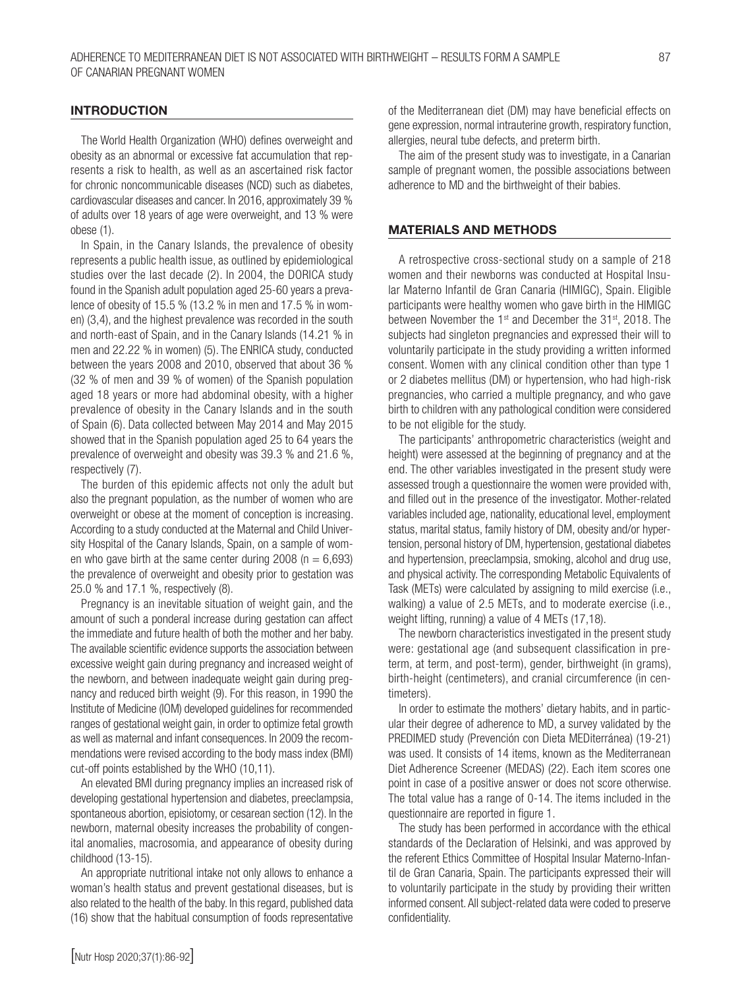### INTRODUCTION

The World Health Organization (WHO) defines overweight and obesity as an abnormal or excessive fat accumulation that represents a risk to health, as well as an ascertained risk factor for chronic noncommunicable diseases (NCD) such as diabetes, cardiovascular diseases and cancer. In 2016, approximately 39 % of adults over 18 years of age were overweight, and 13 % were obese (1).

In Spain, in the Canary Islands, the prevalence of obesity represents a public health issue, as outlined by epidemiological studies over the last decade (2). In 2004, the DORICA study found in the Spanish adult population aged 25-60 years a prevalence of obesity of 15.5 % (13.2 % in men and 17.5 % in women) (3,4), and the highest prevalence was recorded in the south and north-east of Spain, and in the Canary Islands (14.21 % in men and 22.22 % in women) (5). The ENRICA study, conducted between the years 2008 and 2010, observed that about 36 % (32 % of men and 39 % of women) of the Spanish population aged 18 years or more had abdominal obesity, with a higher prevalence of obesity in the Canary Islands and in the south of Spain (6). Data collected between May 2014 and May 2015 showed that in the Spanish population aged 25 to 64 years the prevalence of overweight and obesity was 39.3 % and 21.6 %, respectively (7).

The burden of this epidemic affects not only the adult but also the pregnant population, as the number of women who are overweight or obese at the moment of conception is increasing. According to a study conducted at the Maternal and Child University Hospital of the Canary Islands, Spain, on a sample of women who gave birth at the same center during  $2008$  (n = 6,693) the prevalence of overweight and obesity prior to gestation was 25.0 % and 17.1 %, respectively (8).

Pregnancy is an inevitable situation of weight gain, and the amount of such a ponderal increase during gestation can affect the immediate and future health of both the mother and her baby. The available scientific evidence supports the association between excessive weight gain during pregnancy and increased weight of the newborn, and between inadequate weight gain during pregnancy and reduced birth weight (9). For this reason, in 1990 the Institute of Medicine (IOM) developed guidelines for recommended ranges of gestational weight gain, in order to optimize fetal growth as well as maternal and infant consequences. In 2009 the recommendations were revised according to the body mass index (BMI) cut-off points established by the WHO (10,11).

An elevated BMI during pregnancy implies an increased risk of developing gestational hypertension and diabetes, preeclampsia, spontaneous abortion, episiotomy, or cesarean section (12). In the newborn, maternal obesity increases the probability of congenital anomalies, macrosomia, and appearance of obesity during childhood (13-15).

An appropriate nutritional intake not only allows to enhance a woman's health status and prevent gestational diseases, but is also related to the health of the baby. In this regard, published data (16) show that the habitual consumption of foods representative of the Mediterranean diet (DM) may have beneficial effects on gene expression, normal intrauterine growth, respiratory function, allergies, neural tube defects, and preterm birth.

The aim of the present study was to investigate, in a Canarian sample of pregnant women, the possible associations between adherence to MD and the birthweight of their babies.

### MATERIALS AND METHODS

A retrospective cross-sectional study on a sample of 218 women and their newborns was conducted at Hospital Insular Materno Infantil de Gran Canaria (HIMIGC), Spain. Eligible participants were healthy women who gave birth in the HIMIGC between November the 1<sup>st</sup> and December the 31<sup>st</sup>, 2018. The subjects had singleton pregnancies and expressed their will to voluntarily participate in the study providing a written informed consent. Women with any clinical condition other than type 1 or 2 diabetes mellitus (DM) or hypertension, who had high-risk pregnancies, who carried a multiple pregnancy, and who gave birth to children with any pathological condition were considered to be not eligible for the study.

The participants' anthropometric characteristics (weight and height) were assessed at the beginning of pregnancy and at the end. The other variables investigated in the present study were assessed trough a questionnaire the women were provided with, and filled out in the presence of the investigator. Mother-related variables included age, nationality, educational level, employment status, marital status, family history of DM, obesity and/or hypertension, personal history of DM, hypertension, gestational diabetes and hypertension, preeclampsia, smoking, alcohol and drug use, and physical activity. The corresponding Metabolic Equivalents of Task (METs) were calculated by assigning to mild exercise (i.e., walking) a value of 2.5 METs, and to moderate exercise (i.e., weight lifting, running) a value of 4 METs (17,18).

The newborn characteristics investigated in the present study were: gestational age (and subsequent classification in preterm, at term, and post-term), gender, birthweight (in grams), birth-height (centimeters), and cranial circumference (in centimeters).

In order to estimate the mothers' dietary habits, and in particular their degree of adherence to MD, a survey validated by the PREDIMED study (Prevención con Dieta MEDiterránea) (19-21) was used. It consists of 14 items, known as the Mediterranean Diet Adherence Screener (MEDAS) (22). Each item scores one point in case of a positive answer or does not score otherwise. The total value has a range of 0-14. The items included in the questionnaire are reported in figure 1.

The study has been performed in accordance with the ethical standards of the Declaration of Helsinki, and was approved by the referent Ethics Committee of Hospital Insular Materno-Infantil de Gran Canaria, Spain. The participants expressed their will to voluntarily participate in the study by providing their written informed consent. All subject-related data were coded to preserve confidentiality.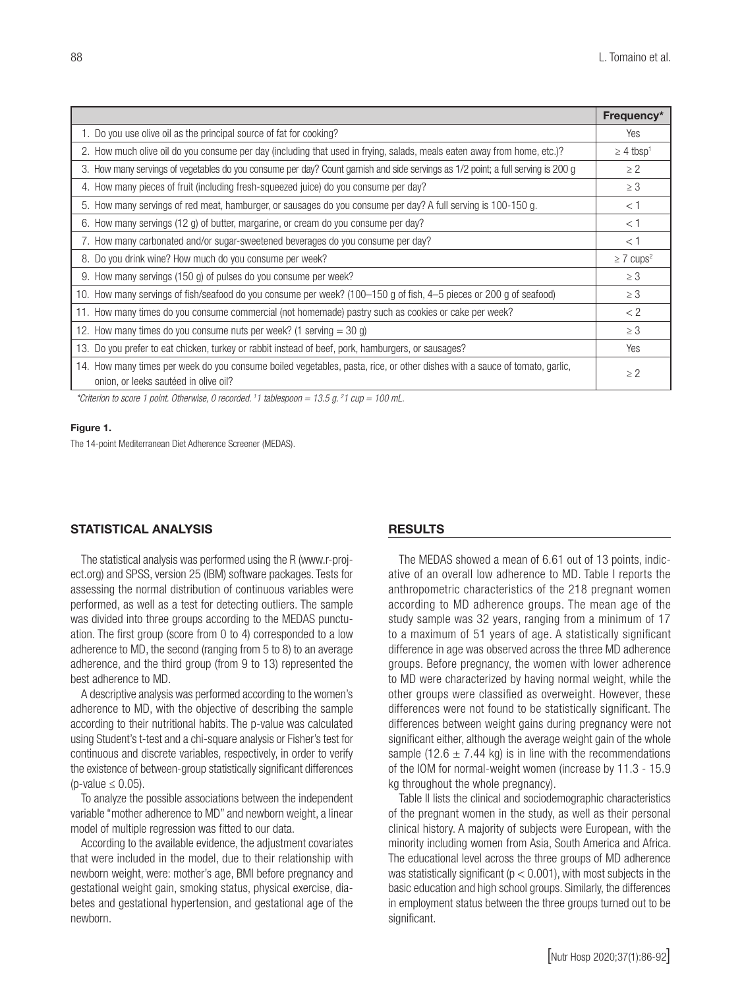|                                                                                                                                                                     | Frequency*                 |
|---------------------------------------------------------------------------------------------------------------------------------------------------------------------|----------------------------|
| 1. Do you use olive oil as the principal source of fat for cooking?                                                                                                 | Yes                        |
| 2. How much olive oil do you consume per day (including that used in frying, salads, meals eaten away from home, etc.)?                                             | $\geq 4$ tbsp <sup>1</sup> |
| 3. How many servings of vegetables do you consume per day? Count garnish and side servings as 1/2 point; a full serving is 200 g                                    | $\geq$ 2                   |
| 4. How many pieces of fruit (including fresh-squeezed juice) do you consume per day?                                                                                | $\geq 3$                   |
| 5. How many servings of red meat, hamburger, or sausages do you consume per day? A full serving is 100-150 g.                                                       | $\leq$ 1                   |
| 6. How many servings (12 g) of butter, margarine, or cream do you consume per day?                                                                                  | $<$ 1                      |
| 7. How many carbonated and/or sugar-sweetened beverages do you consume per day?                                                                                     | $\leq$ 1                   |
| 8. Do you drink wine? How much do you consume per week?                                                                                                             | $\geq$ 7 cups <sup>2</sup> |
| 9. How many servings (150 g) of pulses do you consume per week?                                                                                                     | $\geq 3$                   |
| 10. How many servings of fish/seafood do you consume per week? (100-150 g of fish, 4-5 pieces or 200 g of seafood)                                                  | $\geq 3$                   |
| 11. How many times do you consume commercial (not homemade) pastry such as cookies or cake per week?                                                                | < 2                        |
| 12. How many times do you consume nuts per week? (1 serving $=$ 30 g)                                                                                               | $\geq 3$                   |
| 13. Do you prefer to eat chicken, turkey or rabbit instead of beef, pork, hamburgers, or sausages?                                                                  | Yes                        |
| 14. How many times per week do you consume boiled vegetables, pasta, rice, or other dishes with a sauce of tomato, garlic,<br>onion, or leeks sautéed in olive oil? | $\geq$ 2                   |

*\*Criterion to score 1 point. Otherwise, 0 recorded. 1 1 tablespoon = 13.5 g. 2 1 cup = 100 mL.*

#### Figure 1.

The 14-point Mediterranean Diet Adherence Screener (MEDAS).

#### STATISTICAL ANALYSIS

The statistical analysis was performed using the R (www.r-project.org) and SPSS, version 25 (IBM) software packages. Tests for assessing the normal distribution of continuous variables were performed, as well as a test for detecting outliers. The sample was divided into three groups according to the MEDAS punctuation. The first group (score from 0 to 4) corresponded to a low adherence to MD, the second (ranging from 5 to 8) to an average adherence, and the third group (from 9 to 13) represented the best adherence to MD.

A descriptive analysis was performed according to the women's adherence to MD, with the objective of describing the sample according to their nutritional habits. The p-value was calculated using Student's t-test and a chi-square analysis or Fisher's test for continuous and discrete variables, respectively, in order to verify the existence of between-group statistically significant differences (p-value  $\leq$  0.05).

To analyze the possible associations between the independent variable "mother adherence to MD" and newborn weight, a linear model of multiple regression was fitted to our data.

According to the available evidence, the adjustment covariates that were included in the model, due to their relationship with newborn weight, were: mother's age, BMI before pregnancy and gestational weight gain, smoking status, physical exercise, diabetes and gestational hypertension, and gestational age of the newborn.

#### RESULTS

The MEDAS showed a mean of 6.61 out of 13 points, indicative of an overall low adherence to MD. Table I reports the anthropometric characteristics of the 218 pregnant women according to MD adherence groups. The mean age of the study sample was 32 years, ranging from a minimum of 17 to a maximum of 51 years of age. A statistically significant difference in age was observed across the three MD adherence groups. Before pregnancy, the women with lower adherence to MD were characterized by having normal weight, while the other groups were classified as overweight. However, these differences were not found to be statistically significant. The differences between weight gains during pregnancy were not significant either, although the average weight gain of the whole sample (12.6  $\pm$  7.44 kg) is in line with the recommendations of the IOM for normal-weight women (increase by 11.3 - 15.9 kg throughout the whole pregnancy).

Table II lists the clinical and sociodemographic characteristics of the pregnant women in the study, as well as their personal clinical history. A majority of subjects were European, with the minority including women from Asia, South America and Africa. The educational level across the three groups of MD adherence was statistically significant ( $p < 0.001$ ), with most subjects in the basic education and high school groups. Similarly, the differences in employment status between the three groups turned out to be significant.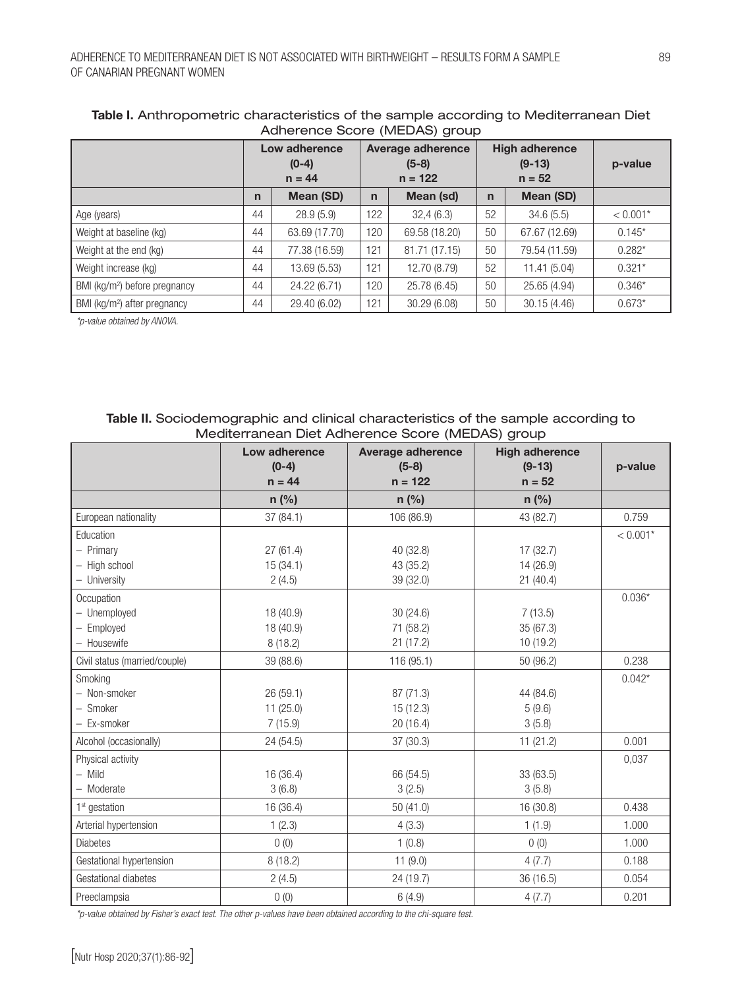| Additional coole (ividato) group          |                                      |               |                                                  |               |                                               |               |            |
|-------------------------------------------|--------------------------------------|---------------|--------------------------------------------------|---------------|-----------------------------------------------|---------------|------------|
|                                           | Low adherence<br>$(0-4)$<br>$n = 44$ |               | <b>Average adherence</b><br>$(5-8)$<br>$n = 122$ |               | <b>High adherence</b><br>$(9-13)$<br>$n = 52$ |               | p-value    |
|                                           | $\mathsf{n}$                         | Mean (SD)     | $\mathsf{n}$                                     | Mean (sd)     | $\mathbf n$                                   | Mean (SD)     |            |
| Age (years)                               | 44                                   | 28.9(5.9)     | 122                                              | 32,4(6.3)     | 52                                            | 34.6(5.5)     | $< 0.001*$ |
| Weight at baseline (kg)                   | 44                                   | 63.69 (17.70) | 120                                              | 69.58 (18.20) | 50                                            | 67.67 (12.69) | $0.145*$   |
| Weight at the end (kg)                    | 44                                   | 77.38 (16.59) | 121                                              | 81.71 (17.15) | 50                                            | 79.54 (11.59) | $0.282*$   |
| Weight increase (kg)                      | 44                                   | 13.69 (5.53)  | 121                                              | 12.70 (8.79)  | 52                                            | 11.41(5.04)   | $0.321*$   |
| BMI (kg/m <sup>2</sup> ) before pregnancy | 44                                   | 24.22 (6.71)  | 120                                              | 25.78 (6.45)  | 50                                            | 25.65 (4.94)  | $0.346*$   |
| BMI (kg/m <sup>2</sup> ) after pregnancy  | 44                                   | 29.40 (6.02)  | 121                                              | 30.29(6.08)   | 50                                            | 30.15 (4.46)  | $0.673*$   |

## Table I. Anthropometric characteristics of the sample according to Mediterranean Diet Adherence Score (MEDAS) group

*\*p-value obtained by ANOVA.*

## Table II. Sociodemographic and clinical characteristics of the sample according to Mediterranean Diet Adherence Score (MEDAS) group

|                               | Low adherence       | <b>Average adherence</b> | <b>High adherence</b> |            |
|-------------------------------|---------------------|--------------------------|-----------------------|------------|
|                               | $(0-4)$<br>$n = 44$ | $(5-8)$<br>$n = 122$     | $(9-13)$<br>$n = 52$  | p-value    |
|                               |                     |                          |                       |            |
|                               | $n$ (%)             | $n$ (%)                  | $n$ (%)               |            |
| European nationality          | 37 (84.1)           | 106 (86.9)               | 43 (82.7)             | 0.759      |
| Education                     |                     |                          |                       | $< 0.001*$ |
| - Primary                     | 27(61.4)            | 40 (32.8)                | 17 (32.7)             |            |
| - High school                 | 15(34.1)            | 43 (35.2)                | 14 (26.9)             |            |
| - University                  | 2(4.5)              | 39 (32.0)                | 21(40.4)              |            |
| Occupation                    |                     |                          |                       | $0.036*$   |
| - Unemployed                  | 18 (40.9)           | 30 (24.6)                | 7(13.5)               |            |
| - Employed                    | 18 (40.9)           | 71 (58.2)                | 35 (67.3)             |            |
| - Housewife                   | 8(18.2)             | 21(17.2)                 | 10 (19.2)             |            |
| Civil status (married/couple) | 39 (88.6)           | 116 (95.1)               | 50 (96.2)             | 0.238      |
| Smoking                       |                     |                          |                       | $0.042*$   |
| - Non-smoker                  | 26 (59.1)           | 87 (71.3)                | 44 (84.6)             |            |
| - Smoker                      | 11(25.0)            | 15(12.3)                 | 5(9.6)                |            |
| - Ex-smoker                   | 7(15.9)             | 20(16.4)                 | 3(5.8)                |            |
| Alcohol (occasionally)        | 24 (54.5)           | 37 (30.3)                | 11(21.2)              | 0.001      |
| Physical activity             |                     |                          |                       | 0,037      |
| $-$ Mild                      | 16 (36.4)           | 66 (54.5)                | 33 (63.5)             |            |
| - Moderate                    | 3(6.8)              | 3(2.5)                   | 3(5.8)                |            |
| 1 <sup>st</sup> gestation     | 16 (36.4)           | 50(41.0)                 | 16 (30.8)             | 0.438      |
| Arterial hypertension         | 1(2.3)              | 4(3.3)                   | 1(1.9)                | 1.000      |
| <b>Diabetes</b>               | 0(0)                | 1(0.8)                   | 0(0)                  | 1.000      |
| Gestational hypertension      | 8(18.2)             | 11(9.0)                  | 4(7.7)                | 0.188      |
| Gestational diabetes          | 2(4.5)              | 24 (19.7)                | 36 (16.5)             | 0.054      |
| Preeclampsia                  | 0(0)                | 6(4.9)                   | 4(7.7)                | 0.201      |

*\*p-value obtained by Fisher's exact test. The other p-values have been obtained according to the chi-square test.*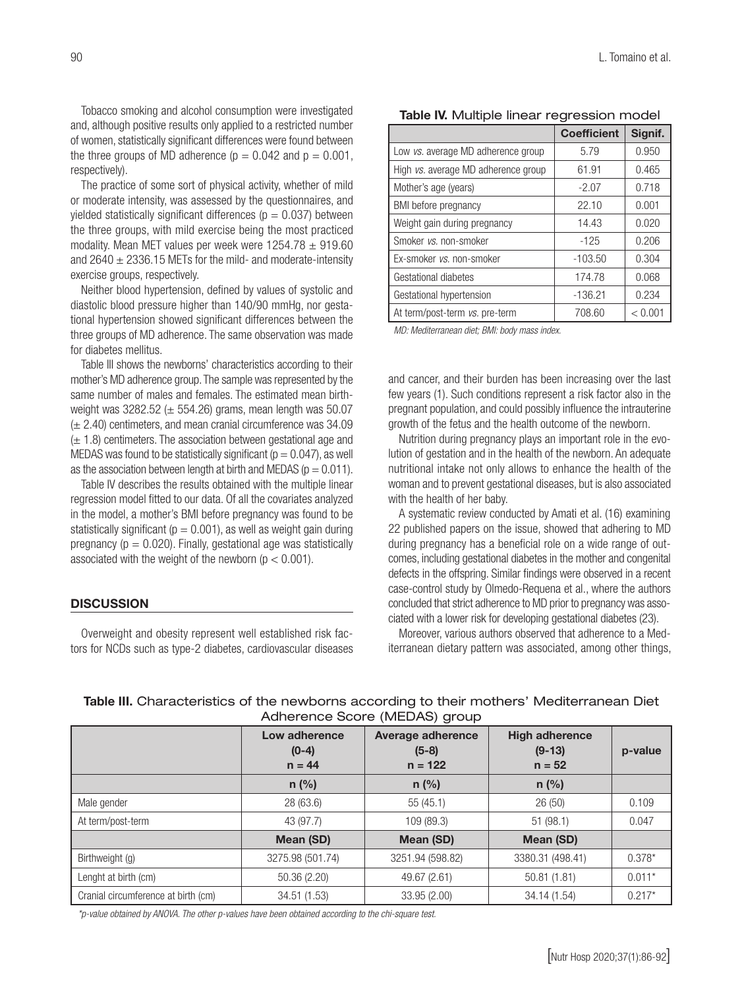Tobacco smoking and alcohol consumption were investigated and, although positive results only applied to a restricted number of women, statistically significant differences were found between the three groups of MD adherence ( $p = 0.042$  and  $p = 0.001$ , respectively).

The practice of some sort of physical activity, whether of mild or moderate intensity, was assessed by the questionnaires, and yielded statistically significant differences ( $p = 0.037$ ) between the three groups, with mild exercise being the most practiced modality. Mean MET values per week were  $1254.78 \pm 919.60$ and  $2640 \pm 2336.15$  METs for the mild- and moderate-intensity exercise groups, respectively.

Neither blood hypertension, defined by values of systolic and diastolic blood pressure higher than 140/90 mmHg, nor gestational hypertension showed significant differences between the three groups of MD adherence. The same observation was made for diabetes mellitus.

Table III shows the newborns' characteristics according to their mother's MD adherence group. The sample was represented by the same number of males and females. The estimated mean birthweight was  $3282.52 \ (\pm 554.26)$  grams, mean length was  $50.07$  $(\pm 2.40)$  centimeters, and mean cranial circumference was 34.09  $(\pm 1.8)$  centimeters. The association between gestational age and MEDAS was found to be statistically significant ( $p = 0.047$ ), as well as the association between length at birth and MEDAS ( $p = 0.011$ ).

Table IV describes the results obtained with the multiple linear regression model fitted to our data. Of all the covariates analyzed in the model, a mother's BMI before pregnancy was found to be statistically significant ( $p = 0.001$ ), as well as weight gain during pregnancy ( $p = 0.020$ ). Finally, gestational age was statistically associated with the weight of the newborn ( $p < 0.001$ ).

#### **DISCUSSION**

Overweight and obesity represent well established risk factors for NCDs such as type-2 diabetes, cardiovascular diseases

|  | Table IV. Multiple linear regression model |  |
|--|--------------------------------------------|--|
|  |                                            |  |

|                                           | <b>Coefficient</b> | Signif. |
|-------------------------------------------|--------------------|---------|
| Low <i>vs.</i> average MD adherence group | 5.79               | 0.950   |
| High vs. average MD adherence group       | 61.91              | 0.465   |
| Mother's age (years)                      | $-2.07$            | 0.718   |
| BMI before pregnancy                      | 22.10              | 0.001   |
| Weight gain during pregnancy              | 14.43              | 0.020   |
| Smoker vs. non-smoker                     | $-125$             | 0,206   |
| Ex-smoker vs. non-smoker                  | $-103.50$          | 0.304   |
| Gestational diabetes                      | 174.78             | 0.068   |
| Gestational hypertension                  | $-136.21$          | 0.234   |
| At term/post-term vs. pre-term            | 708.60             | < 0.001 |

*MD: Mediterranean diet; BMI: body mass index.*

and cancer, and their burden has been increasing over the last few years (1). Such conditions represent a risk factor also in the pregnant population, and could possibly influence the intrauterine growth of the fetus and the health outcome of the newborn.

Nutrition during pregnancy plays an important role in the evolution of gestation and in the health of the newborn. An adequate nutritional intake not only allows to enhance the health of the woman and to prevent gestational diseases, but is also associated with the health of her baby.

A systematic review conducted by Amati et al. (16) examining 22 published papers on the issue, showed that adhering to MD during pregnancy has a beneficial role on a wide range of outcomes, including gestational diabetes in the mother and congenital defects in the offspring. Similar findings were observed in a recent case-control study by Olmedo-Requena et al., where the authors concluded that strict adherence to MD prior to pregnancy was associated with a lower risk for developing gestational diabetes (23).

Moreover, various authors observed that adherence to a Mediterranean dietary pattern was associated, among other things,

|                                     | Low adherence<br>$(0-4)$<br>$n = 44$ | <b>Average adherence</b><br>$(5-8)$<br>$n = 122$ | <b>High adherence</b><br>$(9-13)$<br>$n = 52$ | p-value  |  |  |  |
|-------------------------------------|--------------------------------------|--------------------------------------------------|-----------------------------------------------|----------|--|--|--|
|                                     | $n$ (%)                              | $n$ (%)                                          | $n$ (%)                                       |          |  |  |  |
| Male gender                         | 28 (63.6)                            | 55(45.1)                                         | 26(50)                                        | 0.109    |  |  |  |
| At term/post-term                   | 43 (97.7)                            | 109 (89.3)                                       | 51(98.1)                                      | 0.047    |  |  |  |
|                                     | Mean (SD)                            | Mean (SD)                                        | Mean (SD)                                     |          |  |  |  |
| Birthweight (g)                     | 3275.98 (501.74)                     | 3251.94 (598.82)                                 | 3380.31 (498.41)                              | $0.378*$ |  |  |  |
| Lenght at birth (cm)                | 50.36 (2.20)                         | 49.67 (2.61)                                     | 50.81(1.81)                                   | $0.011*$ |  |  |  |
| Cranial circumference at birth (cm) | 34.51 (1.53)                         | 33.95 (2.00)                                     | 34.14 (1.54)                                  | $0.217*$ |  |  |  |

Table III. Characteristics of the newborns according to their mothers' Mediterranean Diet Adherence Score (MEDAS) group

*\*p-value obtained by ANOVA. The other p-values have been obtained according to the chi-square test.*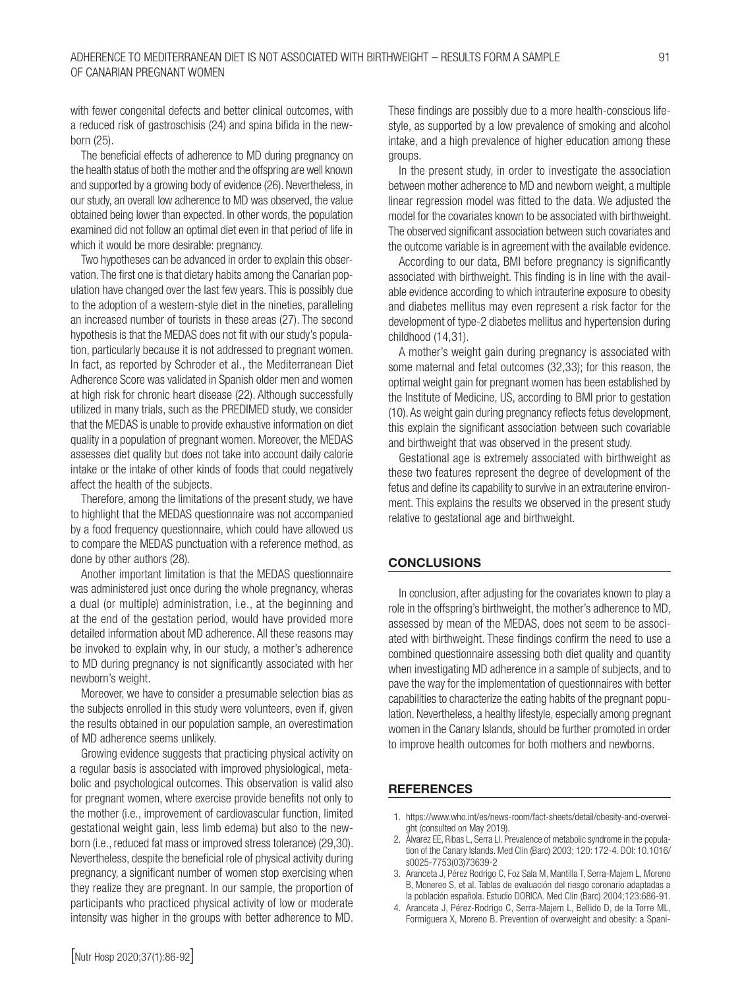with fewer congenital defects and better clinical outcomes, with a reduced risk of gastroschisis (24) and spina bifida in the newborn (25).

The beneficial effects of adherence to MD during pregnancy on the health status of both the mother and the offspring are well known and supported by a growing body of evidence (26). Nevertheless, in our study, an overall low adherence to MD was observed, the value obtained being lower than expected. In other words, the population examined did not follow an optimal diet even in that period of life in which it would be more desirable: pregnancy.

Two hypotheses can be advanced in order to explain this observation. The first one is that dietary habits among the Canarian population have changed over the last few years. This is possibly due to the adoption of a western-style diet in the nineties, paralleling an increased number of tourists in these areas (27). The second hypothesis is that the MEDAS does not fit with our study's population, particularly because it is not addressed to pregnant women. In fact, as reported by Schroder et al., the Mediterranean Diet Adherence Score was validated in Spanish older men and women at high risk for chronic heart disease (22). Although successfully utilized in many trials, such as the PREDIMED study, we consider that the MEDAS is unable to provide exhaustive information on diet quality in a population of pregnant women. Moreover, the MEDAS assesses diet quality but does not take into account daily calorie intake or the intake of other kinds of foods that could negatively affect the health of the subjects.

Therefore, among the limitations of the present study, we have to highlight that the MEDAS questionnaire was not accompanied by a food frequency questionnaire, which could have allowed us to compare the MEDAS punctuation with a reference method, as done by other authors (28).

Another important limitation is that the MEDAS questionnaire was administered just once during the whole pregnancy, wheras a dual (or multiple) administration, i.e., at the beginning and at the end of the gestation period, would have provided more detailed information about MD adherence. All these reasons may be invoked to explain why, in our study, a mother's adherence to MD during pregnancy is not significantly associated with her newborn's weight.

Moreover, we have to consider a presumable selection bias as the subjects enrolled in this study were volunteers, even if, given the results obtained in our population sample, an overestimation of MD adherence seems unlikely.

Growing evidence suggests that practicing physical activity on a regular basis is associated with improved physiological, metabolic and psychological outcomes. This observation is valid also for pregnant women, where exercise provide benefits not only to the mother (i.e., improvement of cardiovascular function, limited gestational weight gain, less limb edema) but also to the newborn (i.e., reduced fat mass or improved stress tolerance) (29,30). Nevertheless, despite the beneficial role of physical activity during pregnancy, a significant number of women stop exercising when they realize they are pregnant. In our sample, the proportion of participants who practiced physical activity of low or moderate intensity was higher in the groups with better adherence to MD. These findings are possibly due to a more health-conscious lifestyle, as supported by a low prevalence of smoking and alcohol intake, and a high prevalence of higher education among these groups.

In the present study, in order to investigate the association between mother adherence to MD and newborn weight, a multiple linear regression model was fitted to the data. We adjusted the model for the covariates known to be associated with birthweight. The observed significant association between such covariates and the outcome variable is in agreement with the available evidence.

According to our data, BMI before pregnancy is significantly associated with birthweight. This finding is in line with the available evidence according to which intrauterine exposure to obesity and diabetes mellitus may even represent a risk factor for the development of type-2 diabetes mellitus and hypertension during childhood (14,31).

A mother's weight gain during pregnancy is associated with some maternal and fetal outcomes (32,33); for this reason, the optimal weight gain for pregnant women has been established by the Institute of Medicine, US, according to BMI prior to gestation (10). As weight gain during pregnancy reflects fetus development, this explain the significant association between such covariable and birthweight that was observed in the present study.

Gestational age is extremely associated with birthweight as these two features represent the degree of development of the fetus and define its capability to survive in an extrauterine environment. This explains the results we observed in the present study relative to gestational age and birthweight.

## **CONCLUSIONS**

In conclusion, after adjusting for the covariates known to play a role in the offspring's birthweight, the mother's adherence to MD, assessed by mean of the MEDAS, does not seem to be associated with birthweight. These findings confirm the need to use a combined questionnaire assessing both diet quality and quantity when investigating MD adherence in a sample of subjects, and to pave the way for the implementation of questionnaires with better capabilities to characterize the eating habits of the pregnant population. Nevertheless, a healthy lifestyle, especially among pregnant women in the Canary Islands, should be further promoted in order to improve health outcomes for both mothers and newborns.

## REFERENCES

- 1. https://www.who.int/es/news-room/fact-sheets/detail/obesity-and-overweight (consulted on May 2019).
- 2. Álvarez EE, Ribas L, Serra Ll. Prevalence of metabolic syndrome in the population of the Canary Islands. Med Clin (Barc) 2003; 120: 172-4. DOI: 10.1016/ s0025-7753(03)73639-2
- 3. Aranceta J, Pérez Rodrigo C, Foz Sala M, Mantilla T, Serra-Majem L, Moreno B, Monereo S, et al. Tablas de evaluación del riesgo coronario adaptadas a la población española. Estudio DORICA. Med Clin (Barc) 2004;123:686-91.
- 4. Aranceta J, Pérez-Rodrigo C, Serra-Majem L, Bellido D, de la Torre ML, Formiguera X, Moreno B. Prevention of overweight and obesity: a Spani-